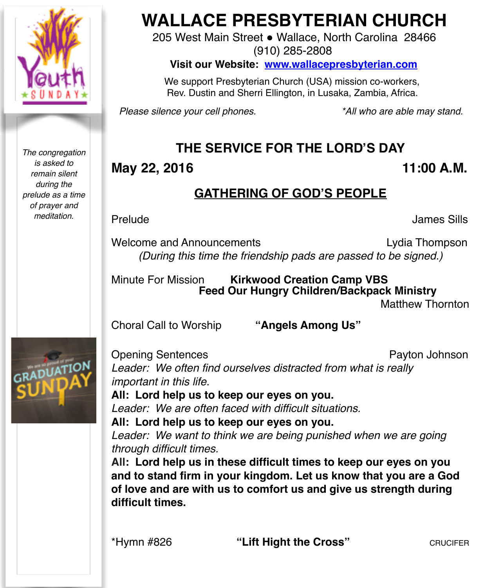

*The congregation is asked to remain silent during the prelude as a time of prayer and meditation.*

# **WALLACE PRESBYTERIAN CHURCH**

205 West Main Street . Wallace, North Carolina 28466 (910) 285-2808

**Visit our Website: [www.wallacepresbyterian.com](http://www.wallacepresbyterian.com)**

 We support Presbyterian Church (USA) mission co-workers, Rev. Dustin and Sherri Ellington, in Lusaka, Zambia, Africa.

*Please silence your cell phones. \*All who are able may stand.*

## **THE SERVICE FOR THE LORD'S DAY**

#### **May 22, 2016 11:00 A.M.**

#### **GATHERING OF GOD'S PEOPLE**

Prelude ! ! ! ! ! ! ! James Sills

Welcome and Announcements **Lydia Thompson** *(During this time the friendship pads are passed to be signed.)*

Minute For Mission **Kirkwood Creation Camp VBS ! ! Feed Our Hungry Children/Backpack Ministry Matthew Thornton** 

Choral Call to Worship **"Angels Among Us"** 



Opening Sentences **Payton Johnson** *Leader: We often find ourselves distracted from what is really important in this life.* 

**All: Lord help us to keep our eyes on you.** *Leader: We are often faced with difficult situations.*

**All: Lord help us to keep our eyes on you.** *Leader: We want to think we are being punished when we are going through difficult times.*

**All: Lord help us in these difficult times to keep our eyes on you and to stand firm in your kingdom. Let us know that you are a God of love and are with us to comfort us and give us strength during difficult times.**

\*Hymn #826 **"Lift Hight the Cross"** CRUCIFER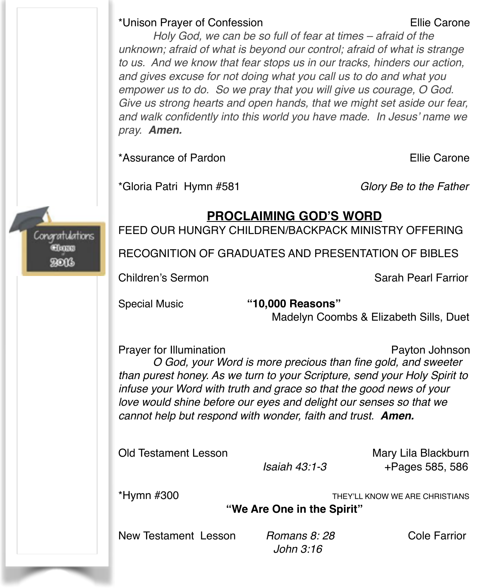#### \*Unison Prayer of Confession! ! ! ! Ellie Carone

*Holy God, we can be so full of fear at times – afraid of the unknown; afraid of what is beyond our control; afraid of what is strange to us. And we know that fear stops us in our tracks, hinders our action, and gives excuse for not doing what you call us to do and what you empower us to do. So we pray that you will give us courage, O God. Give us strong hearts and open hands, that we might set aside our fear, and walk confidently into this world you have made. In Jesus' name we pray. Amen.*

\*Assurance of Pardon **Ellie Carone Ellie Carone** 

\*Gloria Patri Hymn #581 *Glory Be to the Father*

#### **PROCLAIMING GOD'S WORD**

FEED OUR HUNGRY CHILDREN/BACKPACK MINISTRY OFFERING

RECOGNITION OF GRADUATES AND PRESENTATION OF BIBLES

Children's Sermon Sarah Pearl Farrior

Congratulations **EThras** RONG

Special Music **"10,000 Reasons"**

**!!!!** Madelyn Coombs & Elizabeth Sills, Duet

Prayer for Illumination **Prayer for Illumination** Payton Johnson *O God, your Word is more precious than fine gold, and sweeter than purest honey. As we turn to your Scripture, send your Holy Spirit to infuse your Word with truth and grace so that the good news of your love would shine before our eyes and delight our senses so that we cannot help but respond with wonder, faith and trust. Amen.* 

Old Testament Lesson Mary Lila Blackburn

 *Isaiah 43:1-3* +Pages 585, 586

\*Hymn #300 THEY'LL KNOW WE ARE CHRISTIANS

**"We Are One in the Spirit"**

New Testament Lesson *Romans 8: 28* Cole Farrior

 *John 3:16*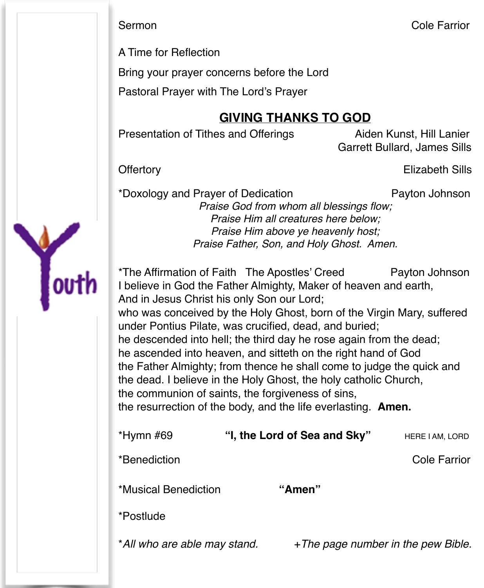A Time for Reflection

Bring your prayer concerns before the Lord

Pastoral Prayer with The Lord's Prayer

### **GIVING THANKS TO GOD**

Presentation of Tithes and Offerings Aiden Kunst, Hill Lanier

Garrett Bullard, James Sills

Offertory **Elizabeth Sills** 

\*Doxology and Prayer of Dedication Payton Johnson *Praise God from whom all blessings flow; Praise Him all creatures here below; Praise Him above ye heavenly host; Praise Father, Son, and Holy Ghost. Amen.*

\*The Affirmation of Faith The Apostles' Creed Payton Johnson I believe in God the Father Almighty, Maker of heaven and earth, And in Jesus Christ his only Son our Lord; who was conceived by the Holy Ghost, born of the Virgin Mary, suffered under Pontius Pilate, was crucified, dead, and buried; he descended into hell; the third day he rose again from the dead; he ascended into heaven, and sitteth on the right hand of God the Father Almighty; from thence he shall come to judge the quick and the dead. I believe in the Holy Ghost, the holy catholic Church, the communion of saints, the forgiveness of sins, the resurrection of the body, and the life everlasting. **Amen.**

| $*$ Hymn #69                 | "I, the Lord of Sea and Sky" | HERE I AM, LORD                     |
|------------------------------|------------------------------|-------------------------------------|
| *Benediction                 |                              | Cole Farrior                        |
| *Musical Benediction         | "Amen"                       |                                     |
| *Postlude                    |                              |                                     |
| *All who are able may stand. |                              | + The page number in the pew Bible. |

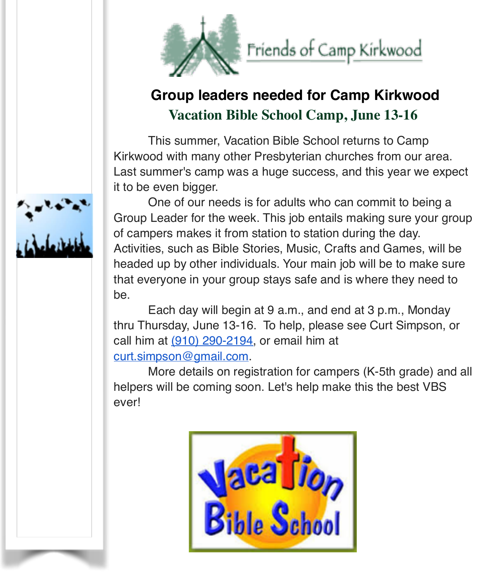

# **Group leaders needed for Camp Kirkwood Vacation Bible School Camp, June 13-16**

This summer, Vacation Bible School returns to Camp Kirkwood with many other Presbyterian churches from our area. Last summer's camp was a huge success, and this year we expect it to be even bigger.

One of our needs is for adults who can commit to being a Group Leader for the week. This job entails making sure your group of campers makes it from station to station during the day. Activities, such as Bible Stories, Music, Crafts and Games, will be headed up by other individuals. Your main job will be to make sure that everyone in your group stays safe and is where they need to be.

Each day will begin at 9 a.m., and end at 3 p.m., Monday thru Thursday, June 13-16. To help, please see Curt Simpson, or call him at  $(910)$  290-2194, or email him at [curt.simpson@gmail.com](mailto:curt.simpson@gmail.com).

More details on registration for campers (K-5th grade) and all helpers will be coming soon. Let's help make this the best VBS ever!



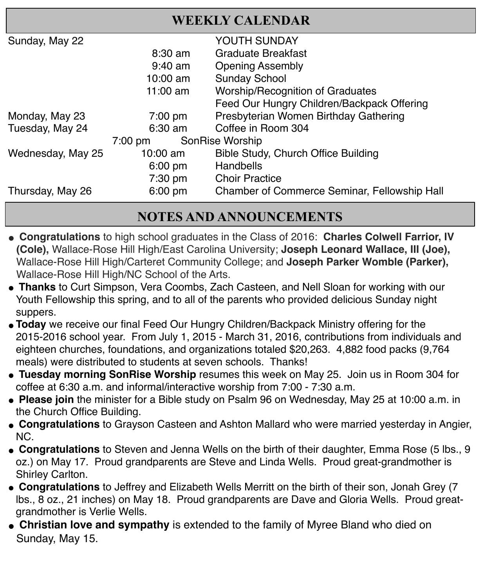| <b>WEEKLY CALENDAR</b>               |                    |                                                     |  |  |
|--------------------------------------|--------------------|-----------------------------------------------------|--|--|
| Sunday, May 22                       |                    | YOUTH SUNDAY                                        |  |  |
|                                      | $8:30 \text{ am}$  | Graduate Breakfast                                  |  |  |
|                                      | $9:40$ am          | <b>Opening Assembly</b>                             |  |  |
|                                      | $10:00 \text{ am}$ | <b>Sunday School</b>                                |  |  |
|                                      | 11:00 $am$         | <b>Worship/Recognition of Graduates</b>             |  |  |
|                                      |                    | Feed Our Hungry Children/Backpack Offering          |  |  |
| Monday, May 23                       | $7:00 \text{ pm}$  | Presbyterian Women Birthday Gathering               |  |  |
| Tuesday, May 24                      | $6:30$ am          | Coffee in Room 304                                  |  |  |
| SonRise Worship<br>$7:00 \text{ pm}$ |                    |                                                     |  |  |
| Wednesday, May 25                    | 10:00 $am$         | Bible Study, Church Office Building                 |  |  |
|                                      | $6:00 \text{ pm}$  | Handbells                                           |  |  |
|                                      | 7:30 pm            | <b>Choir Practice</b>                               |  |  |
| Thursday, May 26                     | $6:00$ pm          | <b>Chamber of Commerce Seminar, Fellowship Hall</b> |  |  |
|                                      |                    |                                                     |  |  |

#### **NOTES AND ANNOUNCEMENTS**

- " **Congratulations** to high school graduates in the Class of 2016: **Charles Colwell Farrior, IV (Cole),** Wallace-Rose Hill High/East Carolina University; **Joseph Leonard Wallace, III (Joe),**  Wallace-Rose Hill High/Carteret Community College; and **Joseph Parker Womble (Parker),** Wallace-Rose Hill High/NC School of the Arts.
- **Thanks** to Curt Simpson, Vera Coombs, Zach Casteen, and Nell Sloan for working with our Youth Fellowship this spring, and to all of the parents who provided delicious Sunday night suppers.
- "**Today** we receive our final Feed Our Hungry Children/Backpack Ministry offering for the 2015-2016 school year. From July 1, 2015 - March 31, 2016, contributions from individuals and eighteen churches, foundations, and organizations totaled \$20,263. 4,882 food packs (9,764 meals) were distributed to students at seven schools. Thanks!
- " **Tuesday morning SonRise Worship** resumes this week on May 25. Join us in Room 304 for coffee at 6:30 a.m. and informal/interactive worship from 7:00 - 7:30 a.m.
- Please join the minister for a Bible study on Psalm 96 on Wednesday, May 25 at 10:00 a.m. in the Church Office Building.
- " **Congratulations** to Grayson Casteen and Ashton Mallard who were married yesterday in Angier, NC.
- " **Congratulations** to Steven and Jenna Wells on the birth of their daughter, Emma Rose (5 lbs., 9 oz.) on May 17. Proud grandparents are Steve and Linda Wells. Proud great-grandmother is Shirley Carlton.
- " **Congratulations** to Jeffrey and Elizabeth Wells Merritt on the birth of their son, Jonah Grey (7 lbs., 8 oz., 21 inches) on May 18. Proud grandparents are Dave and Gloria Wells. Proud greatgrandmother is Verlie Wells.
- **Christian love and sympathy** is extended to the family of Myree Bland who died on Sunday, May 15.